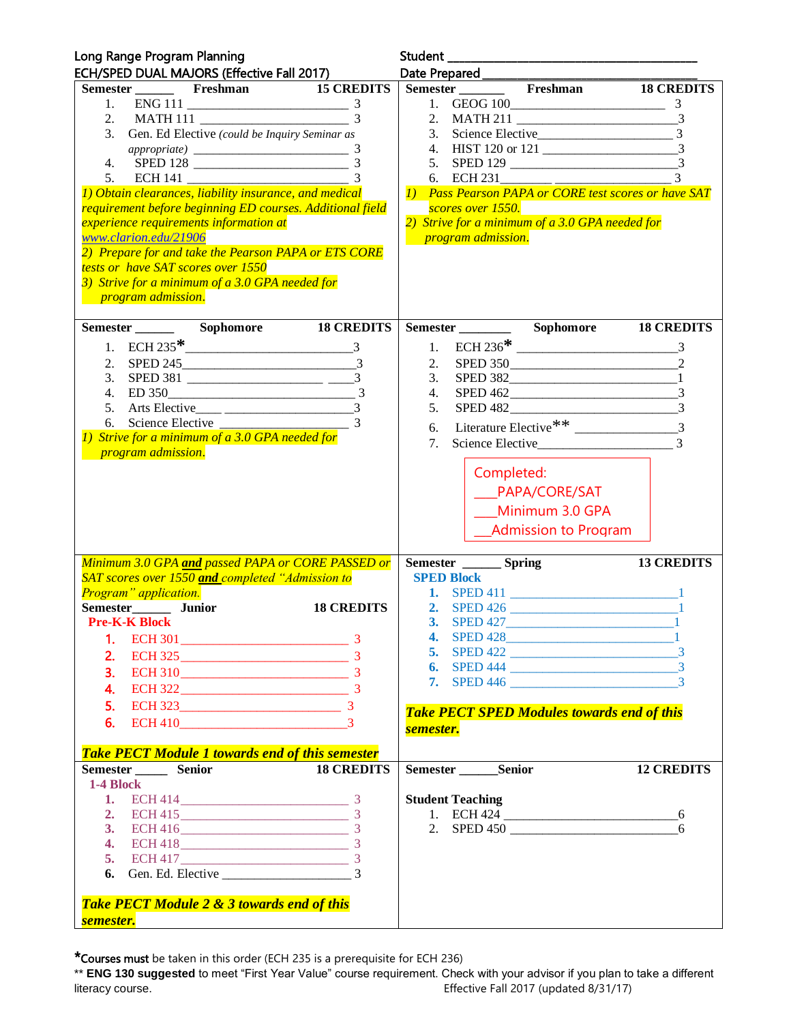| Semester Freshman 15 CREDITS<br>Semester Freshman 18 CREDITS<br>1. $ENG 111$ $3$<br>2. MATH 111 $\frac{3}{3}$<br>3. Gen. Ed Elective (could be Inquiry Seminar as<br>6. ECH 231<br><b>1)</b> Pass Pearson PAPA or CORE test scores or have SAT<br>requirement before beginning ED courses. Additional field<br>scores over 1550.<br>2) Strive for a minimum of a 3.0 GPA needed for<br><i>experience requirements information at</i><br>www.clarion.edu/21906<br><i>program admission.</i><br>2) Prepare for and take the Pearson PAPA or ETS CORE<br>tests or have SAT scores over 1550<br>3) Strive for a minimum of a 3.0 GPA needed for<br><i>program admission.</i><br>2. SPED 245<br>2.<br>$\mathfrak{Z}$ .<br>4.<br>5. Arts Elective <sub>——</sub> $\frac{3}{2}$<br>5.<br>SPED 482<br>6.<br>1) Strive for a minimum of a 3.0 GPA needed for<br>Science Elective<br>7.<br>program admission.<br>Completed:<br>____PAPA/CORE/SAT<br>Minimum 3.0 GPA<br><b>Admission to Program</b><br>13 CREDITS<br>Minimum 3.0 GPA and passed PAPA or CORE PASSED or<br>Semester ________ Spring<br>SAT scores over 1550 and completed "Admission to<br><b>SPED Block</b><br>Program" application.<br>Semester________ Junior<br>18 CREDITS<br><b>Pre-K-K Block</b><br><b>SPED 427</b><br>3.<br>4. SPED 428 1<br>1.<br>5. SPED 422 $\overline{\qquad}$ 3<br>2.<br>$ECH 325$ 3<br>3.<br>$\text{ECH } 310$ 3<br>7. SPED 446 $\frac{3}{2}$<br>4.<br>5.<br><b>Take PECT SPED Modules towards end of this</b><br>$ECH 410$ 3<br>6.<br>semester.<br><b>Take PECT Module 1 towards end of this semester</b><br>Semester _______Semior<br><b>12 CREDITS</b><br>Semester ________ Senior<br><b>18 CREDITS</b><br>1-4 Block<br><b>Student Teaching</b><br>2. ECH 415<br>1. ECH 424 $\_\_$<br>2. SPED 450<br>3. ECH 416<br>6<br>4. ECH 418<br>Take PECT Module 2 & 3 towards end of this | Long Range Program Planning                |  |
|---------------------------------------------------------------------------------------------------------------------------------------------------------------------------------------------------------------------------------------------------------------------------------------------------------------------------------------------------------------------------------------------------------------------------------------------------------------------------------------------------------------------------------------------------------------------------------------------------------------------------------------------------------------------------------------------------------------------------------------------------------------------------------------------------------------------------------------------------------------------------------------------------------------------------------------------------------------------------------------------------------------------------------------------------------------------------------------------------------------------------------------------------------------------------------------------------------------------------------------------------------------------------------------------------------------------------------------------------------------------------------------------------------------------------------------------------------------------------------------------------------------------------------------------------------------------------------------------------------------------------------------------------------------------------------------------------------------------------------------------------------------------------------------------------------------------------------------------------------------------|--------------------------------------------|--|
|                                                                                                                                                                                                                                                                                                                                                                                                                                                                                                                                                                                                                                                                                                                                                                                                                                                                                                                                                                                                                                                                                                                                                                                                                                                                                                                                                                                                                                                                                                                                                                                                                                                                                                                                                                                                                                                                     | ECH/SPED DUAL MAJORS (Effective Fall 2017) |  |
|                                                                                                                                                                                                                                                                                                                                                                                                                                                                                                                                                                                                                                                                                                                                                                                                                                                                                                                                                                                                                                                                                                                                                                                                                                                                                                                                                                                                                                                                                                                                                                                                                                                                                                                                                                                                                                                                     |                                            |  |
|                                                                                                                                                                                                                                                                                                                                                                                                                                                                                                                                                                                                                                                                                                                                                                                                                                                                                                                                                                                                                                                                                                                                                                                                                                                                                                                                                                                                                                                                                                                                                                                                                                                                                                                                                                                                                                                                     |                                            |  |
|                                                                                                                                                                                                                                                                                                                                                                                                                                                                                                                                                                                                                                                                                                                                                                                                                                                                                                                                                                                                                                                                                                                                                                                                                                                                                                                                                                                                                                                                                                                                                                                                                                                                                                                                                                                                                                                                     |                                            |  |
|                                                                                                                                                                                                                                                                                                                                                                                                                                                                                                                                                                                                                                                                                                                                                                                                                                                                                                                                                                                                                                                                                                                                                                                                                                                                                                                                                                                                                                                                                                                                                                                                                                                                                                                                                                                                                                                                     |                                            |  |
|                                                                                                                                                                                                                                                                                                                                                                                                                                                                                                                                                                                                                                                                                                                                                                                                                                                                                                                                                                                                                                                                                                                                                                                                                                                                                                                                                                                                                                                                                                                                                                                                                                                                                                                                                                                                                                                                     |                                            |  |
|                                                                                                                                                                                                                                                                                                                                                                                                                                                                                                                                                                                                                                                                                                                                                                                                                                                                                                                                                                                                                                                                                                                                                                                                                                                                                                                                                                                                                                                                                                                                                                                                                                                                                                                                                                                                                                                                     |                                            |  |
|                                                                                                                                                                                                                                                                                                                                                                                                                                                                                                                                                                                                                                                                                                                                                                                                                                                                                                                                                                                                                                                                                                                                                                                                                                                                                                                                                                                                                                                                                                                                                                                                                                                                                                                                                                                                                                                                     |                                            |  |
|                                                                                                                                                                                                                                                                                                                                                                                                                                                                                                                                                                                                                                                                                                                                                                                                                                                                                                                                                                                                                                                                                                                                                                                                                                                                                                                                                                                                                                                                                                                                                                                                                                                                                                                                                                                                                                                                     |                                            |  |
|                                                                                                                                                                                                                                                                                                                                                                                                                                                                                                                                                                                                                                                                                                                                                                                                                                                                                                                                                                                                                                                                                                                                                                                                                                                                                                                                                                                                                                                                                                                                                                                                                                                                                                                                                                                                                                                                     |                                            |  |
|                                                                                                                                                                                                                                                                                                                                                                                                                                                                                                                                                                                                                                                                                                                                                                                                                                                                                                                                                                                                                                                                                                                                                                                                                                                                                                                                                                                                                                                                                                                                                                                                                                                                                                                                                                                                                                                                     |                                            |  |
|                                                                                                                                                                                                                                                                                                                                                                                                                                                                                                                                                                                                                                                                                                                                                                                                                                                                                                                                                                                                                                                                                                                                                                                                                                                                                                                                                                                                                                                                                                                                                                                                                                                                                                                                                                                                                                                                     |                                            |  |
|                                                                                                                                                                                                                                                                                                                                                                                                                                                                                                                                                                                                                                                                                                                                                                                                                                                                                                                                                                                                                                                                                                                                                                                                                                                                                                                                                                                                                                                                                                                                                                                                                                                                                                                                                                                                                                                                     |                                            |  |
|                                                                                                                                                                                                                                                                                                                                                                                                                                                                                                                                                                                                                                                                                                                                                                                                                                                                                                                                                                                                                                                                                                                                                                                                                                                                                                                                                                                                                                                                                                                                                                                                                                                                                                                                                                                                                                                                     |                                            |  |
|                                                                                                                                                                                                                                                                                                                                                                                                                                                                                                                                                                                                                                                                                                                                                                                                                                                                                                                                                                                                                                                                                                                                                                                                                                                                                                                                                                                                                                                                                                                                                                                                                                                                                                                                                                                                                                                                     |                                            |  |
|                                                                                                                                                                                                                                                                                                                                                                                                                                                                                                                                                                                                                                                                                                                                                                                                                                                                                                                                                                                                                                                                                                                                                                                                                                                                                                                                                                                                                                                                                                                                                                                                                                                                                                                                                                                                                                                                     |                                            |  |
|                                                                                                                                                                                                                                                                                                                                                                                                                                                                                                                                                                                                                                                                                                                                                                                                                                                                                                                                                                                                                                                                                                                                                                                                                                                                                                                                                                                                                                                                                                                                                                                                                                                                                                                                                                                                                                                                     |                                            |  |
|                                                                                                                                                                                                                                                                                                                                                                                                                                                                                                                                                                                                                                                                                                                                                                                                                                                                                                                                                                                                                                                                                                                                                                                                                                                                                                                                                                                                                                                                                                                                                                                                                                                                                                                                                                                                                                                                     |                                            |  |
|                                                                                                                                                                                                                                                                                                                                                                                                                                                                                                                                                                                                                                                                                                                                                                                                                                                                                                                                                                                                                                                                                                                                                                                                                                                                                                                                                                                                                                                                                                                                                                                                                                                                                                                                                                                                                                                                     |                                            |  |
|                                                                                                                                                                                                                                                                                                                                                                                                                                                                                                                                                                                                                                                                                                                                                                                                                                                                                                                                                                                                                                                                                                                                                                                                                                                                                                                                                                                                                                                                                                                                                                                                                                                                                                                                                                                                                                                                     |                                            |  |
|                                                                                                                                                                                                                                                                                                                                                                                                                                                                                                                                                                                                                                                                                                                                                                                                                                                                                                                                                                                                                                                                                                                                                                                                                                                                                                                                                                                                                                                                                                                                                                                                                                                                                                                                                                                                                                                                     |                                            |  |
|                                                                                                                                                                                                                                                                                                                                                                                                                                                                                                                                                                                                                                                                                                                                                                                                                                                                                                                                                                                                                                                                                                                                                                                                                                                                                                                                                                                                                                                                                                                                                                                                                                                                                                                                                                                                                                                                     |                                            |  |
|                                                                                                                                                                                                                                                                                                                                                                                                                                                                                                                                                                                                                                                                                                                                                                                                                                                                                                                                                                                                                                                                                                                                                                                                                                                                                                                                                                                                                                                                                                                                                                                                                                                                                                                                                                                                                                                                     |                                            |  |
|                                                                                                                                                                                                                                                                                                                                                                                                                                                                                                                                                                                                                                                                                                                                                                                                                                                                                                                                                                                                                                                                                                                                                                                                                                                                                                                                                                                                                                                                                                                                                                                                                                                                                                                                                                                                                                                                     |                                            |  |
|                                                                                                                                                                                                                                                                                                                                                                                                                                                                                                                                                                                                                                                                                                                                                                                                                                                                                                                                                                                                                                                                                                                                                                                                                                                                                                                                                                                                                                                                                                                                                                                                                                                                                                                                                                                                                                                                     |                                            |  |
|                                                                                                                                                                                                                                                                                                                                                                                                                                                                                                                                                                                                                                                                                                                                                                                                                                                                                                                                                                                                                                                                                                                                                                                                                                                                                                                                                                                                                                                                                                                                                                                                                                                                                                                                                                                                                                                                     |                                            |  |
|                                                                                                                                                                                                                                                                                                                                                                                                                                                                                                                                                                                                                                                                                                                                                                                                                                                                                                                                                                                                                                                                                                                                                                                                                                                                                                                                                                                                                                                                                                                                                                                                                                                                                                                                                                                                                                                                     |                                            |  |
|                                                                                                                                                                                                                                                                                                                                                                                                                                                                                                                                                                                                                                                                                                                                                                                                                                                                                                                                                                                                                                                                                                                                                                                                                                                                                                                                                                                                                                                                                                                                                                                                                                                                                                                                                                                                                                                                     |                                            |  |
|                                                                                                                                                                                                                                                                                                                                                                                                                                                                                                                                                                                                                                                                                                                                                                                                                                                                                                                                                                                                                                                                                                                                                                                                                                                                                                                                                                                                                                                                                                                                                                                                                                                                                                                                                                                                                                                                     |                                            |  |
|                                                                                                                                                                                                                                                                                                                                                                                                                                                                                                                                                                                                                                                                                                                                                                                                                                                                                                                                                                                                                                                                                                                                                                                                                                                                                                                                                                                                                                                                                                                                                                                                                                                                                                                                                                                                                                                                     |                                            |  |
|                                                                                                                                                                                                                                                                                                                                                                                                                                                                                                                                                                                                                                                                                                                                                                                                                                                                                                                                                                                                                                                                                                                                                                                                                                                                                                                                                                                                                                                                                                                                                                                                                                                                                                                                                                                                                                                                     |                                            |  |
|                                                                                                                                                                                                                                                                                                                                                                                                                                                                                                                                                                                                                                                                                                                                                                                                                                                                                                                                                                                                                                                                                                                                                                                                                                                                                                                                                                                                                                                                                                                                                                                                                                                                                                                                                                                                                                                                     |                                            |  |
|                                                                                                                                                                                                                                                                                                                                                                                                                                                                                                                                                                                                                                                                                                                                                                                                                                                                                                                                                                                                                                                                                                                                                                                                                                                                                                                                                                                                                                                                                                                                                                                                                                                                                                                                                                                                                                                                     |                                            |  |
|                                                                                                                                                                                                                                                                                                                                                                                                                                                                                                                                                                                                                                                                                                                                                                                                                                                                                                                                                                                                                                                                                                                                                                                                                                                                                                                                                                                                                                                                                                                                                                                                                                                                                                                                                                                                                                                                     |                                            |  |
|                                                                                                                                                                                                                                                                                                                                                                                                                                                                                                                                                                                                                                                                                                                                                                                                                                                                                                                                                                                                                                                                                                                                                                                                                                                                                                                                                                                                                                                                                                                                                                                                                                                                                                                                                                                                                                                                     |                                            |  |
|                                                                                                                                                                                                                                                                                                                                                                                                                                                                                                                                                                                                                                                                                                                                                                                                                                                                                                                                                                                                                                                                                                                                                                                                                                                                                                                                                                                                                                                                                                                                                                                                                                                                                                                                                                                                                                                                     |                                            |  |
|                                                                                                                                                                                                                                                                                                                                                                                                                                                                                                                                                                                                                                                                                                                                                                                                                                                                                                                                                                                                                                                                                                                                                                                                                                                                                                                                                                                                                                                                                                                                                                                                                                                                                                                                                                                                                                                                     |                                            |  |
|                                                                                                                                                                                                                                                                                                                                                                                                                                                                                                                                                                                                                                                                                                                                                                                                                                                                                                                                                                                                                                                                                                                                                                                                                                                                                                                                                                                                                                                                                                                                                                                                                                                                                                                                                                                                                                                                     |                                            |  |
|                                                                                                                                                                                                                                                                                                                                                                                                                                                                                                                                                                                                                                                                                                                                                                                                                                                                                                                                                                                                                                                                                                                                                                                                                                                                                                                                                                                                                                                                                                                                                                                                                                                                                                                                                                                                                                                                     |                                            |  |
|                                                                                                                                                                                                                                                                                                                                                                                                                                                                                                                                                                                                                                                                                                                                                                                                                                                                                                                                                                                                                                                                                                                                                                                                                                                                                                                                                                                                                                                                                                                                                                                                                                                                                                                                                                                                                                                                     |                                            |  |
|                                                                                                                                                                                                                                                                                                                                                                                                                                                                                                                                                                                                                                                                                                                                                                                                                                                                                                                                                                                                                                                                                                                                                                                                                                                                                                                                                                                                                                                                                                                                                                                                                                                                                                                                                                                                                                                                     |                                            |  |
|                                                                                                                                                                                                                                                                                                                                                                                                                                                                                                                                                                                                                                                                                                                                                                                                                                                                                                                                                                                                                                                                                                                                                                                                                                                                                                                                                                                                                                                                                                                                                                                                                                                                                                                                                                                                                                                                     |                                            |  |
|                                                                                                                                                                                                                                                                                                                                                                                                                                                                                                                                                                                                                                                                                                                                                                                                                                                                                                                                                                                                                                                                                                                                                                                                                                                                                                                                                                                                                                                                                                                                                                                                                                                                                                                                                                                                                                                                     |                                            |  |
|                                                                                                                                                                                                                                                                                                                                                                                                                                                                                                                                                                                                                                                                                                                                                                                                                                                                                                                                                                                                                                                                                                                                                                                                                                                                                                                                                                                                                                                                                                                                                                                                                                                                                                                                                                                                                                                                     |                                            |  |
|                                                                                                                                                                                                                                                                                                                                                                                                                                                                                                                                                                                                                                                                                                                                                                                                                                                                                                                                                                                                                                                                                                                                                                                                                                                                                                                                                                                                                                                                                                                                                                                                                                                                                                                                                                                                                                                                     |                                            |  |
|                                                                                                                                                                                                                                                                                                                                                                                                                                                                                                                                                                                                                                                                                                                                                                                                                                                                                                                                                                                                                                                                                                                                                                                                                                                                                                                                                                                                                                                                                                                                                                                                                                                                                                                                                                                                                                                                     |                                            |  |
|                                                                                                                                                                                                                                                                                                                                                                                                                                                                                                                                                                                                                                                                                                                                                                                                                                                                                                                                                                                                                                                                                                                                                                                                                                                                                                                                                                                                                                                                                                                                                                                                                                                                                                                                                                                                                                                                     |                                            |  |
|                                                                                                                                                                                                                                                                                                                                                                                                                                                                                                                                                                                                                                                                                                                                                                                                                                                                                                                                                                                                                                                                                                                                                                                                                                                                                                                                                                                                                                                                                                                                                                                                                                                                                                                                                                                                                                                                     |                                            |  |
|                                                                                                                                                                                                                                                                                                                                                                                                                                                                                                                                                                                                                                                                                                                                                                                                                                                                                                                                                                                                                                                                                                                                                                                                                                                                                                                                                                                                                                                                                                                                                                                                                                                                                                                                                                                                                                                                     |                                            |  |
|                                                                                                                                                                                                                                                                                                                                                                                                                                                                                                                                                                                                                                                                                                                                                                                                                                                                                                                                                                                                                                                                                                                                                                                                                                                                                                                                                                                                                                                                                                                                                                                                                                                                                                                                                                                                                                                                     |                                            |  |
|                                                                                                                                                                                                                                                                                                                                                                                                                                                                                                                                                                                                                                                                                                                                                                                                                                                                                                                                                                                                                                                                                                                                                                                                                                                                                                                                                                                                                                                                                                                                                                                                                                                                                                                                                                                                                                                                     |                                            |  |
|                                                                                                                                                                                                                                                                                                                                                                                                                                                                                                                                                                                                                                                                                                                                                                                                                                                                                                                                                                                                                                                                                                                                                                                                                                                                                                                                                                                                                                                                                                                                                                                                                                                                                                                                                                                                                                                                     |                                            |  |
|                                                                                                                                                                                                                                                                                                                                                                                                                                                                                                                                                                                                                                                                                                                                                                                                                                                                                                                                                                                                                                                                                                                                                                                                                                                                                                                                                                                                                                                                                                                                                                                                                                                                                                                                                                                                                                                                     |                                            |  |
|                                                                                                                                                                                                                                                                                                                                                                                                                                                                                                                                                                                                                                                                                                                                                                                                                                                                                                                                                                                                                                                                                                                                                                                                                                                                                                                                                                                                                                                                                                                                                                                                                                                                                                                                                                                                                                                                     |                                            |  |
|                                                                                                                                                                                                                                                                                                                                                                                                                                                                                                                                                                                                                                                                                                                                                                                                                                                                                                                                                                                                                                                                                                                                                                                                                                                                                                                                                                                                                                                                                                                                                                                                                                                                                                                                                                                                                                                                     |                                            |  |
|                                                                                                                                                                                                                                                                                                                                                                                                                                                                                                                                                                                                                                                                                                                                                                                                                                                                                                                                                                                                                                                                                                                                                                                                                                                                                                                                                                                                                                                                                                                                                                                                                                                                                                                                                                                                                                                                     | semester.                                  |  |

\*Courses must be taken in this order (ECH 235 is a prerequisite for ECH 236)

\*\* **ENG 130 suggested** to meet "First Year Value" course requirement. Check with your advisor if you plan to take a different literacy course. Effective Fall 2017 (updated 8/31/17)